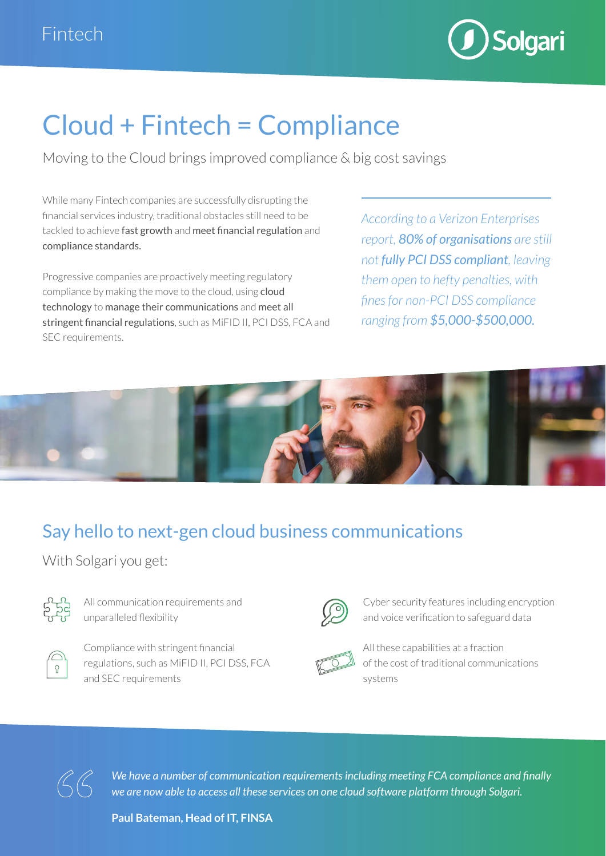

# Cloud + Fintech = Compliance

Moving to the Cloud brings improved compliance & big cost savings

While many Fintech companies are successfully disrupting the financial services industry, traditional obstacles still need to be tackled to achieve fast growth and meet financial regulation and compliance standards.

Progressive companies are proactively meeting regulatory compliance by making the move to the cloud, using cloud technology to manage their communications and meet all stringent financial regulations, such as MiFID II, PCI DSS, FCA and SEC requirements.

*According to a Verizon Enterprises report, 80% of organisations are still not fully PCI DSS compliant, leaving them open to hefty penalties, with fines for non-PCI DSS compliance ranging from \$5,000-\$500,000.*



## Say hello to next-gen cloud business communications

With Solgari you get:



All communication requirements and unparalleled flexibility



Compliance with stringent financial regulations, such as MiFID II, PCI DSS, FCA and SEC requirements



Cyber security features including encryption and voice verification to safeguard data



All these capabilities at a fraction of the cost of traditional communications systems



*We have a number of communication requirements including meeting FCA compliance and finally we are now able to access all these services on one cloud software platform through Solgari.*

**Paul Bateman, Head of IT, FINSA**